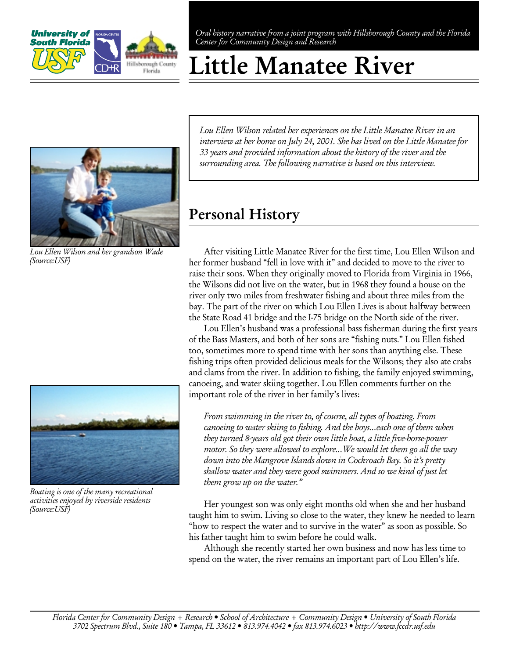

Oral history narrative from a joint program with Hillsborough County and the Florida Center for Community Design and Research

# Little Manatee River



Lou Ellen Wilson and her grandson Wade (Source:USF)



Boating is one of the many recreational activities enjoyed by riverside residents (Source:USF)

Lou Ellen Wilson related her experiences on the Little Manatee River in an interview at her home on July 24, 2001. She has lived on the Little Manatee for 33 years and provided information about the history of the river and the surrounding area. The following narrative is based on this interview.

## Personal History

After visiting Little Manatee River for the first time, Lou Ellen Wilson and her former husband "fell in love with it" and decided to move to the river to raise their sons. When they originally moved to Florida from Virginia in 1966, the Wilsons did not live on the water, but in 1968 they found a house on the river only two miles from freshwater fishing and about three miles from the bay. The part of the river on which Lou Ellen Lives is about halfway between the State Road 41 bridge and the I-75 bridge on the North side of the river.

Lou Ellen's husband was a professional bass fisherman during the first years of the Bass Masters, and both of her sons are "fishing nuts." Lou Ellen fished too, sometimes more to spend time with her sons than anything else. These fishing trips often provided delicious meals for the Wilsons; they also ate crabs and clams from the river. In addition to fishing, the family enjoyed swimming, canoeing, and water skiing together. Lou Ellen comments further on the important role of the river in her family's lives:

From swimming in the river to, of course, all types of boating. From canoeing to water skiing to fishing. And the boys…each one of them when they turned 8-years old got their own little boat, a little five-horse-power motor. So they were allowed to explore...We would let them go all the way down into the Mangrove Islands down in Cockroach Bay. So it's pretty shallow water and they were good swimmers. And so we kind of just let them grow up on the water."

Her youngest son was only eight months old when she and her husband taught him to swim. Living so close to the water, they knew he needed to learn "how to respect the water and to survive in the water" as soon as possible. So his father taught him to swim before he could walk.

Although she recently started her own business and now has less time to spend on the water, the river remains an important part of Lou Ellen's life.

Florida Center for Community Design + Research • School of Architecture + Community Design • University of South Florida 3702 Spectrum Blvd., Suite 180 • Tampa, FL 33612 • 813.974.4042 • fax 813.974.6023 • http://www.fccdr.usf.edu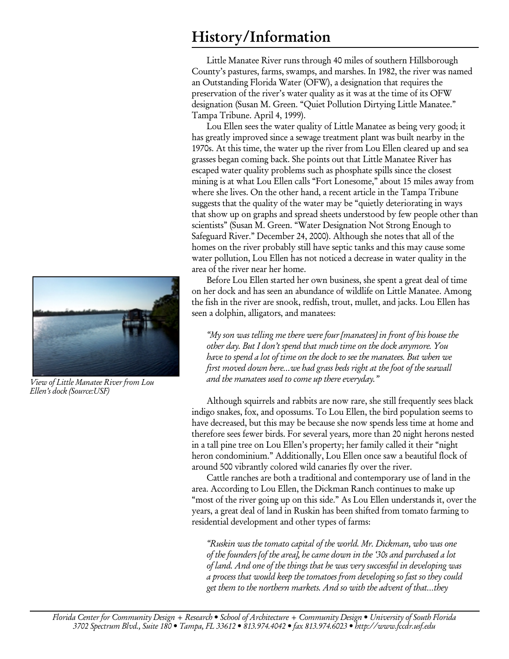### History/Information

Little Manatee River runs through 40 miles of southern Hillsborough County's pastures, farms, swamps, and marshes. In 1982, the river was named an Outstanding Florida Water (OFW), a designation that requires the preservation of the river's water quality as it was at the time of its OFW designation (Susan M. Green. "Quiet Pollution Dirtying Little Manatee." Tampa Tribune. April 4, 1999).

Lou Ellen sees the water quality of Little Manatee as being very good; it has greatly improved since a sewage treatment plant was built nearby in the 1970s. At this time, the water up the river from Lou Ellen cleared up and sea grasses began coming back. She points out that Little Manatee River has escaped water quality problems such as phosphate spills since the closest mining is at what Lou Ellen calls "Fort Lonesome," about 15 miles away from where she lives. On the other hand, a recent article in the Tampa Tribune suggests that the quality of the water may be "quietly deteriorating in ways that show up on graphs and spread sheets understood by few people other than scientists" (Susan M. Green. "Water Designation Not Strong Enough to Safeguard River." December 24, 2000). Although she notes that all of the homes on the river probably still have septic tanks and this may cause some water pollution, Lou Ellen has not noticed a decrease in water quality in the area of the river near her home.

Before Lou Ellen started her own business, she spent a great deal of time on her dock and has seen an abundance of wildlife on Little Manatee. Among the fish in the river are snook, redfish, trout, mullet, and jacks. Lou Ellen has seen a dolphin, alligators, and manatees:

"My son was telling me there were four [manatees] in front of his house the other day. But I don't spend that much time on the dock anymore. You have to spend a lot of time on the dock to see the manatees. But when we first moved down here…we had grass beds right at the foot of the seawall and the manatees used to come up there everyday."

Although squirrels and rabbits are now rare, she still frequently sees black indigo snakes, fox, and opossums. To Lou Ellen, the bird population seems to have decreased, but this may be because she now spends less time at home and therefore sees fewer birds. For several years, more than 20 night herons nested in a tall pine tree on Lou Ellen's property; her family called it their "night heron condominium." Additionally, Lou Ellen once saw a beautiful flock of around 500 vibrantly colored wild canaries fly over the river.

Cattle ranches are both a traditional and contemporary use of land in the area. According to Lou Ellen, the Dickman Ranch continues to make up "most of the river going up on this side." As Lou Ellen understands it, over the years, a great deal of land in Ruskin has been shifted from tomato farming to residential development and other types of farms:

"Ruskin was the tomato capital of the world. Mr. Dickman, who was one of the founders [of the area], he came down in the '30s and purchased a lot of land. And one of the things that he was very successful in developing was a process that would keep the tomatoes from developing so fast so they could get them to the northern markets. And so with the advent of that…they



View of Little Manatee River from Lou Ellen's dock (Source:USF)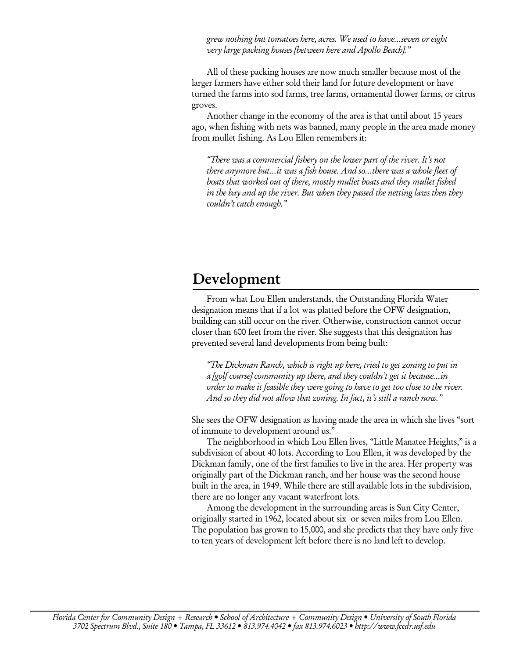grew nothing but tomatoes here, acres. We used to have…seven or eight very large packing houses [between here and Apollo Beach]."

All of these packing houses are now much smaller because most of the larger farmers have either sold their land for future development or have turned the farms into sod farms, tree farms, ornamental flower farms, or citrus groves.

Another change in the economy of the area is that until about 15 years ago, when fishing with nets was banned, many people in the area made money from mullet fishing. As Lou Ellen remembers it:

"There was a commercial fishery on the lower part of the river. It's not there anymore but…it was a fish house. And so…there was a whole fleet of boats that worked out of there, mostly mullet boats and they mullet fished in the bay and up the river. But when they passed the netting laws then they couldn't catch enough."

#### Development

From what Lou Ellen understands, the Outstanding Florida Water designation means that if a lot was platted before the OFW designation, building can still occur on the river. Otherwise, construction cannot occur closer than 600 feet from the river. She suggests that this designation has prevented several land developments from being built:

"The Dickman Ranch, which is right up here, tried to get zoning to put in a [golf course] community up there, and they couldn't get it because…in order to make it feasible they were going to have to get too close to the river. And so they did not allow that zoning. In fact, it's still a ranch now."

She sees the OFW designation as having made the area in which she lives "sort of immune to development around us."

The neighborhood in which Lou Ellen lives, "Little Manatee Heights," is a subdivision of about 40 lots. According to Lou Ellen, it was developed by the Dickman family, one of the first families to live in the area. Her property was originally part of the Dickman ranch, and her house was the second house built in the area, in 1949. While there are still available lots in the subdivision, there are no longer any vacant waterfront lots.

Among the development in the surrounding areas is Sun City Center, originally started in 1962, located about six or seven miles from Lou Ellen. The population has grown to 15,000, and she predicts that they have only five to ten years of development left before there is no land left to develop.